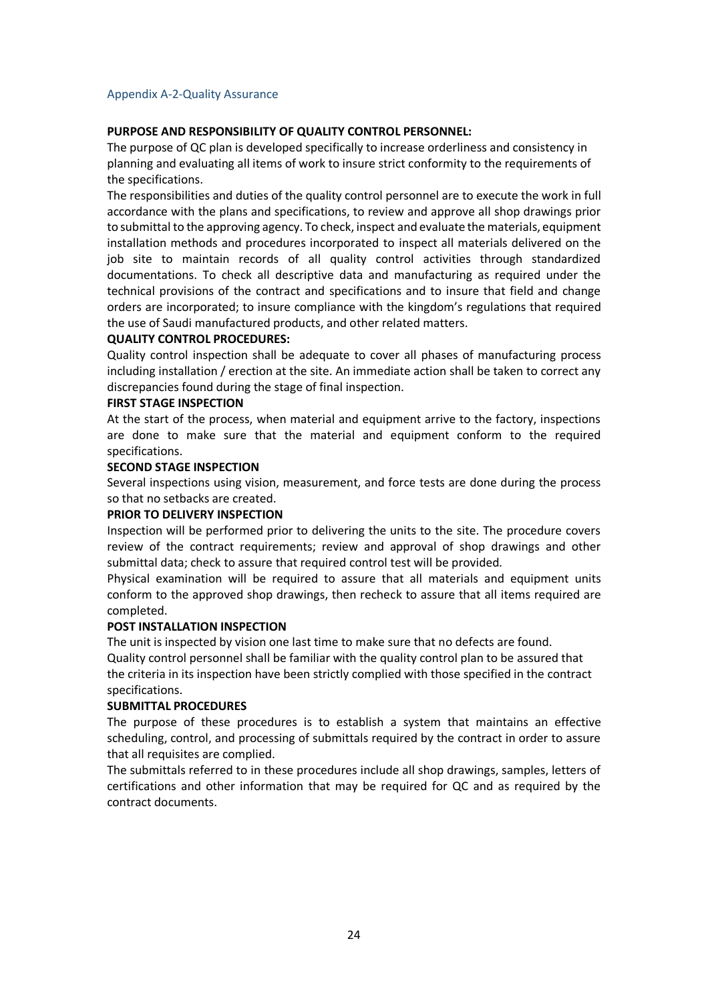# Appendix A-2-Quality Assurance

# **PURPOSE AND RESPONSIBILITY OF QUALITY CONTROL PERSONNEL:**

The purpose of QC plan is developed specifically to increase orderliness and consistency in planning and evaluating all items of work to insure strict conformity to the requirements of the specifications.

The responsibilities and duties of the quality control personnel are to execute the work in full accordance with the plans and specifications, to review and approve all shop drawings prior to submittal to the approving agency. To check, inspect and evaluate the materials, equipment installation methods and procedures incorporated to inspect all materials delivered on the job site to maintain records of all quality control activities through standardized documentations. To check all descriptive data and manufacturing as required under the technical provisions of the contract and specifications and to insure that field and change orders are incorporated; to insure compliance with the kingdom's regulations that required the use of Saudi manufactured products, and other related matters.

## **QUALITY CONTROL PROCEDURES:**

Quality control inspection shall be adequate to cover all phases of manufacturing process including installation / erection at the site. An immediate action shall be taken to correct any discrepancies found during the stage of final inspection.

## **FIRST STAGE INSPECTION**

At the start of the process, when material and equipment arrive to the factory, inspections are done to make sure that the material and equipment conform to the required specifications.

#### **SECOND STAGE INSPECTION**

Several inspections using vision, measurement, and force tests are done during the process so that no setbacks are created.

# **PRIOR TO DELIVERY INSPECTION**

Inspection will be performed prior to delivering the units to the site. The procedure covers review of the contract requirements; review and approval of shop drawings and other submittal data; check to assure that required control test will be provided.

Physical examination will be required to assure that all materials and equipment units conform to the approved shop drawings, then recheck to assure that all items required are completed.

#### **POST INSTALLATION INSPECTION**

The unit is inspected by vision one last time to make sure that no defects are found. Quality control personnel shall be familiar with the quality control plan to be assured that the criteria in its inspection have been strictly complied with those specified in the contract specifications.

#### **SUBMITTAL PROCEDURES**

The purpose of these procedures is to establish a system that maintains an effective scheduling, control, and processing of submittals required by the contract in order to assure that all requisites are complied.

The submittals referred to in these procedures include all shop drawings, samples, letters of certifications and other information that may be required for QC and as required by the contract documents.